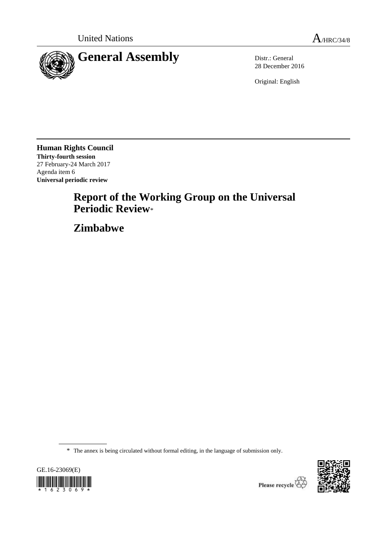

28 December 2016

Original: English

**Human Rights Council Thirty-fourth session** 27 February-24 March 2017 Agenda item 6 **Universal periodic review**

# **Report of the Working Group on the Universal Periodic Review**\*

**Zimbabwe**

\* The annex is being circulated without formal editing, in the language of submission only.



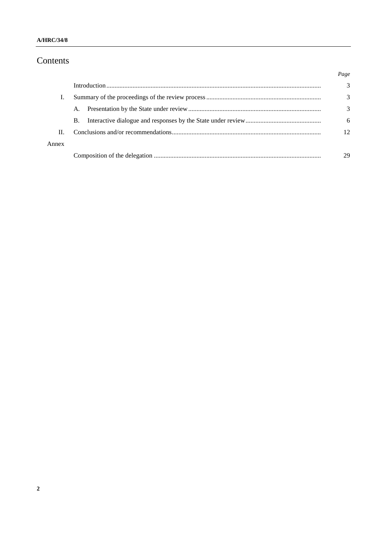# Contents

|       |           | Page         |
|-------|-----------|--------------|
|       |           | 3            |
|       |           | 3            |
|       | A.        | 3            |
|       | <b>B.</b> | 6            |
| Н.    |           | $12^{\circ}$ |
| Annex |           |              |
|       |           | 29           |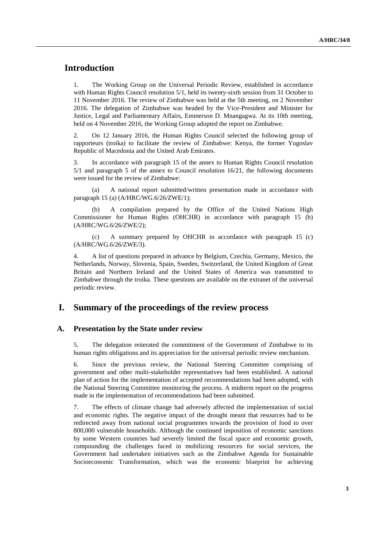# **Introduction**

1. The Working Group on the Universal Periodic Review, established in accordance with Human Rights Council resolution 5/1, held its twenty-sixth session from 31 October to 11 November 2016. The review of Zimbabwe was held at the 5th meeting, on 2 November 2016. The delegation of Zimbabwe was headed by the Vice-President and Minister for Justice, Legal and Parliamentary Affairs, Emmerson D. Mnangagwa. At its 10th meeting, held on 4 November 2016, the Working Group adopted the report on Zimbabwe.

2. On 12 January 2016, the Human Rights Council selected the following group of rapporteurs (troika) to facilitate the review of Zimbabwe: Kenya, the former Yugoslav Republic of Macedonia and the United Arab Emirates.

3. In accordance with paragraph 15 of the annex to Human Rights Council resolution 5/1 and paragraph 5 of the annex to Council resolution 16/21, the following documents were issued for the review of Zimbabwe:

(a) A national report submitted/written presentation made in accordance with paragraph 15 (a) (A/HRC/WG.6/26/ZWE/1);

(b) A compilation prepared by the Office of the United Nations High Commissioner for Human Rights (OHCHR) in accordance with paragraph 15 (b) (A/HRC/WG.6/26/ZWE/2);

(c) A summary prepared by OHCHR in accordance with paragraph 15 (c) (A/HRC/WG.6/26/ZWE/3).

4. A list of questions prepared in advance by Belgium, Czechia, Germany, Mexico, the Netherlands, Norway, Slovenia, Spain, Sweden, Switzerland, the United Kingdom of Great Britain and Northern Ireland and the United States of America was transmitted to Zimbabwe through the troika. These questions are available on the extranet of the universal periodic review.

### **I. Summary of the proceedings of the review process**

#### **A. Presentation by the State under review**

5. The delegation reiterated the commitment of the Government of Zimbabwe to its human rights obligations and its appreciation for the universal periodic review mechanism.

6. Since the previous review, the National Steering Committee comprising of government and other multi-stakeholder representatives had been established. A national plan of action for the implementation of accepted recommendations had been adopted, with the National Steering Committee monitoring the process. A midterm report on the progress made in the implementation of recommendations had been submitted.

7. The effects of climate change had adversely affected the implementation of social and economic rights. The negative impact of the drought meant that resources had to be redirected away from national social programmes towards the provision of food to over 800,000 vulnerable households. Although the continued imposition of economic sanctions by some Western countries had severely limited the fiscal space and economic growth, compounding the challenges faced in mobilizing resources for social services, the Government had undertaken initiatives such as the Zimbabwe Agenda for Sustainable Socioeconomic Transformation, which was the economic blueprint for achieving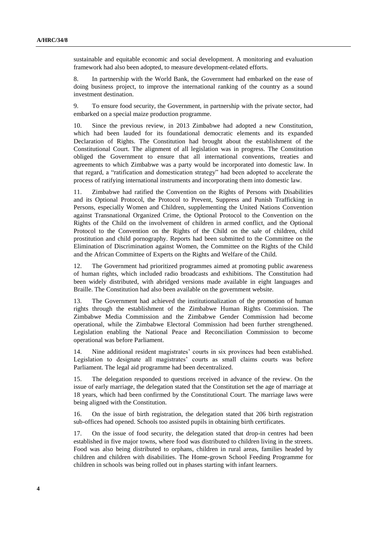sustainable and equitable economic and social development. A monitoring and evaluation framework had also been adopted, to measure development-related efforts.

8. In partnership with the World Bank, the Government had embarked on the ease of doing business project, to improve the international ranking of the country as a sound investment destination.

9. To ensure food security, the Government, in partnership with the private sector, had embarked on a special maize production programme.

10. Since the previous review, in 2013 Zimbabwe had adopted a new Constitution, which had been lauded for its foundational democratic elements and its expanded Declaration of Rights. The Constitution had brought about the establishment of the Constitutional Court. The alignment of all legislation was in progress. The Constitution obliged the Government to ensure that all international conventions, treaties and agreements to which Zimbabwe was a party would be incorporated into domestic law. In that regard, a "ratification and domestication strategy" had been adopted to accelerate the process of ratifying international instruments and incorporating them into domestic law.

11. Zimbabwe had ratified the Convention on the Rights of Persons with Disabilities and its Optional Protocol, the Protocol to Prevent, Suppress and Punish Trafficking in Persons, especially Women and Children, supplementing the United Nations Convention against Transnational Organized Crime, the Optional Protocol to the Convention on the Rights of the Child on the involvement of children in armed conflict, and the Optional Protocol to the Convention on the Rights of the Child on the sale of children, child prostitution and child pornography. Reports had been submitted to the Committee on the Elimination of Discrimination against Women, the Committee on the Rights of the Child and the African Committee of Experts on the Rights and Welfare of the Child.

12. The Government had prioritized programmes aimed at promoting public awareness of human rights, which included radio broadcasts and exhibitions. The Constitution had been widely distributed, with abridged versions made available in eight languages and Braille. The Constitution had also been available on the government website.

13. The Government had achieved the institutionalization of the promotion of human rights through the establishment of the Zimbabwe Human Rights Commission. The Zimbabwe Media Commission and the Zimbabwe Gender Commission had become operational, while the Zimbabwe Electoral Commission had been further strengthened. Legislation enabling the National Peace and Reconciliation Commission to become operational was before Parliament.

Nine additional resident magistrates' courts in six provinces had been established. Legislation to designate all magistrates' courts as small claims courts was before Parliament. The legal aid programme had been decentralized.

15. The delegation responded to questions received in advance of the review. On the issue of early marriage, the delegation stated that the Constitution set the age of marriage at 18 years, which had been confirmed by the Constitutional Court. The marriage laws were being aligned with the Constitution.

16. On the issue of birth registration, the delegation stated that 206 birth registration sub-offices had opened. Schools too assisted pupils in obtaining birth certificates.

17. On the issue of food security, the delegation stated that drop-in centres had been established in five major towns, where food was distributed to children living in the streets. Food was also being distributed to orphans, children in rural areas, families headed by children and children with disabilities. The Home-grown School Feeding Programme for children in schools was being rolled out in phases starting with infant learners.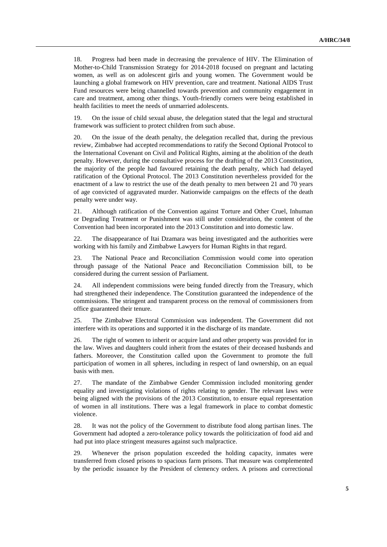18. Progress had been made in decreasing the prevalence of HIV. The Elimination of Mother-to-Child Transmission Strategy for 2014-2018 focused on pregnant and lactating women, as well as on adolescent girls and young women. The Government would be launching a global framework on HIV prevention, care and treatment. National AIDS Trust Fund resources were being channelled towards prevention and community engagement in care and treatment, among other things. Youth-friendly corners were being established in health facilities to meet the needs of unmarried adolescents.

19. On the issue of child sexual abuse, the delegation stated that the legal and structural framework was sufficient to protect children from such abuse.

20. On the issue of the death penalty, the delegation recalled that, during the previous review, Zimbabwe had accepted recommendations to ratify the Second Optional Protocol to the International Covenant on Civil and Political Rights, aiming at the abolition of the death penalty. However, during the consultative process for the drafting of the 2013 Constitution, the majority of the people had favoured retaining the death penalty, which had delayed ratification of the Optional Protocol. The 2013 Constitution nevertheless provided for the enactment of a law to restrict the use of the death penalty to men between 21 and 70 years of age convicted of aggravated murder. Nationwide campaigns on the effects of the death penalty were under way.

21. Although ratification of the Convention against Torture and Other Cruel, Inhuman or Degrading Treatment or Punishment was still under consideration, the content of the Convention had been incorporated into the 2013 Constitution and into domestic law.

22. The disappearance of Itai Dzamara was being investigated and the authorities were working with his family and Zimbabwe Lawyers for Human Rights in that regard.

23. The National Peace and Reconciliation Commission would come into operation through passage of the National Peace and Reconciliation Commission bill, to be considered during the current session of Parliament.

24. All independent commissions were being funded directly from the Treasury, which had strengthened their independence. The Constitution guaranteed the independence of the commissions. The stringent and transparent process on the removal of commissioners from office guaranteed their tenure.

25. The Zimbabwe Electoral Commission was independent. The Government did not interfere with its operations and supported it in the discharge of its mandate.

26. The right of women to inherit or acquire land and other property was provided for in the law. Wives and daughters could inherit from the estates of their deceased husbands and fathers. Moreover, the Constitution called upon the Government to promote the full participation of women in all spheres, including in respect of land ownership, on an equal basis with men.

27. The mandate of the Zimbabwe Gender Commission included monitoring gender equality and investigating violations of rights relating to gender. The relevant laws were being aligned with the provisions of the 2013 Constitution, to ensure equal representation of women in all institutions. There was a legal framework in place to combat domestic violence.

28. It was not the policy of the Government to distribute food along partisan lines. The Government had adopted a zero-tolerance policy towards the politicization of food aid and had put into place stringent measures against such malpractice.

29. Whenever the prison population exceeded the holding capacity, inmates were transferred from closed prisons to spacious farm prisons. That measure was complemented by the periodic issuance by the President of clemency orders. A prisons and correctional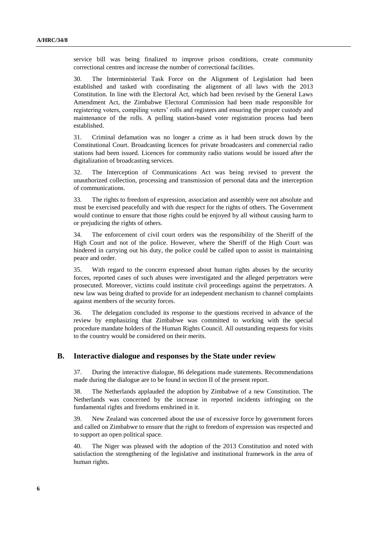service bill was being finalized to improve prison conditions, create community correctional centres and increase the number of correctional facilities.

30. The Interministerial Task Force on the Alignment of Legislation had been established and tasked with coordinating the alignment of all laws with the 2013 Constitution. In line with the Electoral Act, which had been revised by the General Laws Amendment Act, the Zimbabwe Electoral Commission had been made responsible for registering voters, compiling voters' rolls and registers and ensuring the proper custody and maintenance of the rolls. A polling station-based voter registration process had been established.

31. Criminal defamation was no longer a crime as it had been struck down by the Constitutional Court. Broadcasting licences for private broadcasters and commercial radio stations had been issued. Licences for community radio stations would be issued after the digitalization of broadcasting services.

32. The Interception of Communications Act was being revised to prevent the unauthorized collection, processing and transmission of personal data and the interception of communications.

33. The rights to freedom of expression, association and assembly were not absolute and must be exercised peacefully and with due respect for the rights of others. The Government would continue to ensure that those rights could be enjoyed by all without causing harm to or prejudicing the rights of others.

34. The enforcement of civil court orders was the responsibility of the Sheriff of the High Court and not of the police. However, where the Sheriff of the High Court was hindered in carrying out his duty, the police could be called upon to assist in maintaining peace and order.

35. With regard to the concern expressed about human rights abuses by the security forces, reported cases of such abuses were investigated and the alleged perpetrators were prosecuted. Moreover, victims could institute civil proceedings against the perpetrators. A new law was being drafted to provide for an independent mechanism to channel complaints against members of the security forces.

36. The delegation concluded its response to the questions received in advance of the review by emphasizing that Zimbabwe was committed to working with the special procedure mandate holders of the Human Rights Council. All outstanding requests for visits to the country would be considered on their merits.

#### **B. Interactive dialogue and responses by the State under review**

37. During the interactive dialogue, 86 delegations made statements. Recommendations made during the dialogue are to be found in section II of the present report.

38. The Netherlands applauded the adoption by Zimbabwe of a new Constitution. The Netherlands was concerned by the increase in reported incidents infringing on the fundamental rights and freedoms enshrined in it.

39. New Zealand was concerned about the use of excessive force by government forces and called on Zimbabwe to ensure that the right to freedom of expression was respected and to support an open political space.

40. The Niger was pleased with the adoption of the 2013 Constitution and noted with satisfaction the strengthening of the legislative and institutional framework in the area of human rights.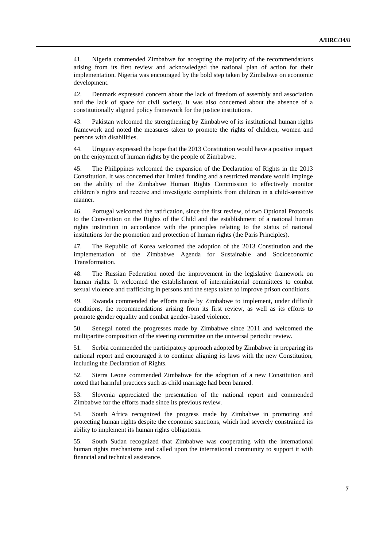41. Nigeria commended Zimbabwe for accepting the majority of the recommendations arising from its first review and acknowledged the national plan of action for their implementation. Nigeria was encouraged by the bold step taken by Zimbabwe on economic development.

42. Denmark expressed concern about the lack of freedom of assembly and association and the lack of space for civil society. It was also concerned about the absence of a constitutionally aligned policy framework for the justice institutions.

43. Pakistan welcomed the strengthening by Zimbabwe of its institutional human rights framework and noted the measures taken to promote the rights of children, women and persons with disabilities.

44. Uruguay expressed the hope that the 2013 Constitution would have a positive impact on the enjoyment of human rights by the people of Zimbabwe.

45. The Philippines welcomed the expansion of the Declaration of Rights in the 2013 Constitution. It was concerned that limited funding and a restricted mandate would impinge on the ability of the Zimbabwe Human Rights Commission to effectively monitor children's rights and receive and investigate complaints from children in a child-sensitive manner.

46. Portugal welcomed the ratification, since the first review, of two Optional Protocols to the Convention on the Rights of the Child and the establishment of a national human rights institution in accordance with the principles relating to the status of national institutions for the promotion and protection of human rights (the Paris Principles).

47. The Republic of Korea welcomed the adoption of the 2013 Constitution and the implementation of the Zimbabwe Agenda for Sustainable and Socioeconomic Transformation.

48. The Russian Federation noted the improvement in the legislative framework on human rights. It welcomed the establishment of interministerial committees to combat sexual violence and trafficking in persons and the steps taken to improve prison conditions.

49. Rwanda commended the efforts made by Zimbabwe to implement, under difficult conditions, the recommendations arising from its first review, as well as its efforts to promote gender equality and combat gender-based violence.

50. Senegal noted the progresses made by Zimbabwe since 2011 and welcomed the multipartite composition of the steering committee on the universal periodic review.

51. Serbia commended the participatory approach adopted by Zimbabwe in preparing its national report and encouraged it to continue aligning its laws with the new Constitution, including the Declaration of Rights.

52. Sierra Leone commended Zimbabwe for the adoption of a new Constitution and noted that harmful practices such as child marriage had been banned.

53. Slovenia appreciated the presentation of the national report and commended Zimbabwe for the efforts made since its previous review.

54. South Africa recognized the progress made by Zimbabwe in promoting and protecting human rights despite the economic sanctions, which had severely constrained its ability to implement its human rights obligations.

55. South Sudan recognized that Zimbabwe was cooperating with the international human rights mechanisms and called upon the international community to support it with financial and technical assistance.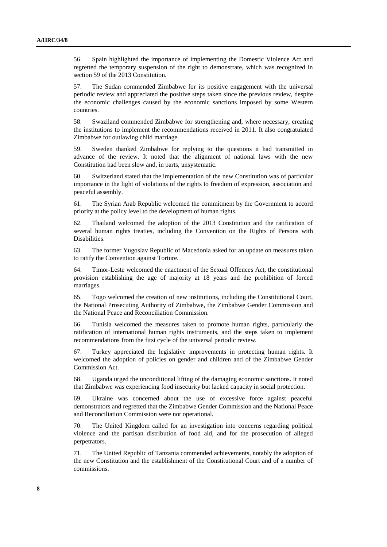56. Spain highlighted the importance of implementing the Domestic Violence Act and regretted the temporary suspension of the right to demonstrate, which was recognized in section 59 of the 2013 Constitution.

57. The Sudan commended Zimbabwe for its positive engagement with the universal periodic review and appreciated the positive steps taken since the previous review, despite the economic challenges caused by the economic sanctions imposed by some Western countries.

58. Swaziland commended Zimbabwe for strengthening and, where necessary, creating the institutions to implement the recommendations received in 2011. It also congratulated Zimbabwe for outlawing child marriage.

59. Sweden thanked Zimbabwe for replying to the questions it had transmitted in advance of the review. It noted that the alignment of national laws with the new Constitution had been slow and, in parts, unsystematic.

60. Switzerland stated that the implementation of the new Constitution was of particular importance in the light of violations of the rights to freedom of expression, association and peaceful assembly.

61. The Syrian Arab Republic welcomed the commitment by the Government to accord priority at the policy level to the development of human rights.

62. Thailand welcomed the adoption of the 2013 Constitution and the ratification of several human rights treaties, including the Convention on the Rights of Persons with Disabilities.

63. The former Yugoslav Republic of Macedonia asked for an update on measures taken to ratify the Convention against Torture.

64. Timor-Leste welcomed the enactment of the Sexual Offences Act, the constitutional provision establishing the age of majority at 18 years and the prohibition of forced marriages.

65. Togo welcomed the creation of new institutions, including the Constitutional Court, the National Prosecuting Authority of Zimbabwe, the Zimbabwe Gender Commission and the National Peace and Reconciliation Commission.

66. Tunisia welcomed the measures taken to promote human rights, particularly the ratification of international human rights instruments, and the steps taken to implement recommendations from the first cycle of the universal periodic review.

67. Turkey appreciated the legislative improvements in protecting human rights. It welcomed the adoption of policies on gender and children and of the Zimbabwe Gender Commission Act.

68. Uganda urged the unconditional lifting of the damaging economic sanctions. It noted that Zimbabwe was experiencing food insecurity but lacked capacity in social protection.

69. Ukraine was concerned about the use of excessive force against peaceful demonstrators and regretted that the Zimbabwe Gender Commission and the National Peace and Reconciliation Commission were not operational.

70. The United Kingdom called for an investigation into concerns regarding political violence and the partisan distribution of food aid, and for the prosecution of alleged perpetrators.

71. The United Republic of Tanzania commended achievements, notably the adoption of the new Constitution and the establishment of the Constitutional Court and of a number of commissions.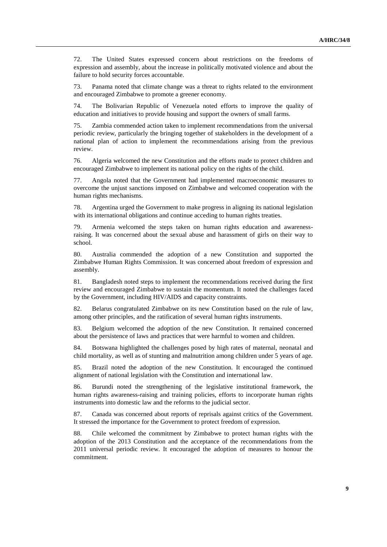72. The United States expressed concern about restrictions on the freedoms of expression and assembly, about the increase in politically motivated violence and about the failure to hold security forces accountable.

73. Panama noted that climate change was a threat to rights related to the environment and encouraged Zimbabwe to promote a greener economy.

74. The Bolivarian Republic of Venezuela noted efforts to improve the quality of education and initiatives to provide housing and support the owners of small farms.

75. Zambia commended action taken to implement recommendations from the universal periodic review, particularly the bringing together of stakeholders in the development of a national plan of action to implement the recommendations arising from the previous review.

76. Algeria welcomed the new Constitution and the efforts made to protect children and encouraged Zimbabwe to implement its national policy on the rights of the child.

77. Angola noted that the Government had implemented macroeconomic measures to overcome the unjust sanctions imposed on Zimbabwe and welcomed cooperation with the human rights mechanisms.

78. Argentina urged the Government to make progress in aligning its national legislation with its international obligations and continue acceding to human rights treaties.

79. Armenia welcomed the steps taken on human rights education and awarenessraising. It was concerned about the sexual abuse and harassment of girls on their way to school.

80. Australia commended the adoption of a new Constitution and supported the Zimbabwe Human Rights Commission. It was concerned about freedom of expression and assembly.

81. Bangladesh noted steps to implement the recommendations received during the first review and encouraged Zimbabwe to sustain the momentum. It noted the challenges faced by the Government, including HIV/AIDS and capacity constraints.

82. Belarus congratulated Zimbabwe on its new Constitution based on the rule of law, among other principles, and the ratification of several human rights instruments.

83. Belgium welcomed the adoption of the new Constitution. It remained concerned about the persistence of laws and practices that were harmful to women and children.

84. Botswana highlighted the challenges posed by high rates of maternal, neonatal and child mortality, as well as of stunting and malnutrition among children under 5 years of age.

85. Brazil noted the adoption of the new Constitution. It encouraged the continued alignment of national legislation with the Constitution and international law.

86. Burundi noted the strengthening of the legislative institutional framework, the human rights awareness-raising and training policies, efforts to incorporate human rights instruments into domestic law and the reforms to the judicial sector.

87. Canada was concerned about reports of reprisals against critics of the Government. It stressed the importance for the Government to protect freedom of expression.

88. Chile welcomed the commitment by Zimbabwe to protect human rights with the adoption of the 2013 Constitution and the acceptance of the recommendations from the 2011 universal periodic review. It encouraged the adoption of measures to honour the commitment.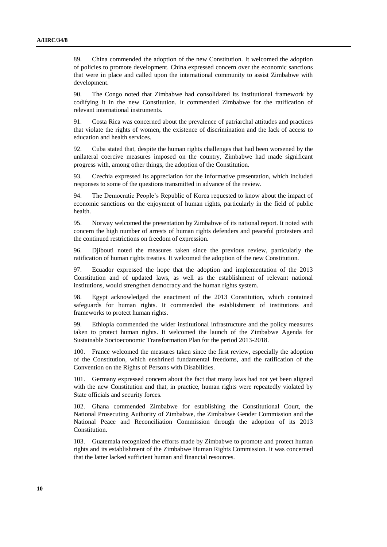89. China commended the adoption of the new Constitution. It welcomed the adoption of policies to promote development. China expressed concern over the economic sanctions that were in place and called upon the international community to assist Zimbabwe with development.

90. The Congo noted that Zimbabwe had consolidated its institutional framework by codifying it in the new Constitution. It commended Zimbabwe for the ratification of relevant international instruments.

91. Costa Rica was concerned about the prevalence of patriarchal attitudes and practices that violate the rights of women, the existence of discrimination and the lack of access to education and health services.

92. Cuba stated that, despite the human rights challenges that had been worsened by the unilateral coercive measures imposed on the country, Zimbabwe had made significant progress with, among other things, the adoption of the Constitution.

93. Czechia expressed its appreciation for the informative presentation, which included responses to some of the questions transmitted in advance of the review.

94. The Democratic People's Republic of Korea requested to know about the impact of economic sanctions on the enjoyment of human rights, particularly in the field of public health.

95. Norway welcomed the presentation by Zimbabwe of its national report. It noted with concern the high number of arrests of human rights defenders and peaceful protesters and the continued restrictions on freedom of expression.

96. Djibouti noted the measures taken since the previous review, particularly the ratification of human rights treaties. It welcomed the adoption of the new Constitution.

97. Ecuador expressed the hope that the adoption and implementation of the 2013 Constitution and of updated laws, as well as the establishment of relevant national institutions, would strengthen democracy and the human rights system.

98. Egypt acknowledged the enactment of the 2013 Constitution, which contained safeguards for human rights. It commended the establishment of institutions and frameworks to protect human rights.

99. Ethiopia commended the wider institutional infrastructure and the policy measures taken to protect human rights. It welcomed the launch of the Zimbabwe Agenda for Sustainable Socioeconomic Transformation Plan for the period 2013-2018.

100. France welcomed the measures taken since the first review, especially the adoption of the Constitution, which enshrined fundamental freedoms, and the ratification of the Convention on the Rights of Persons with Disabilities.

101. Germany expressed concern about the fact that many laws had not yet been aligned with the new Constitution and that, in practice, human rights were repeatedly violated by State officials and security forces.

102. Ghana commended Zimbabwe for establishing the Constitutional Court, the National Prosecuting Authority of Zimbabwe, the Zimbabwe Gender Commission and the National Peace and Reconciliation Commission through the adoption of its 2013 Constitution.

103. Guatemala recognized the efforts made by Zimbabwe to promote and protect human rights and its establishment of the Zimbabwe Human Rights Commission. It was concerned that the latter lacked sufficient human and financial resources.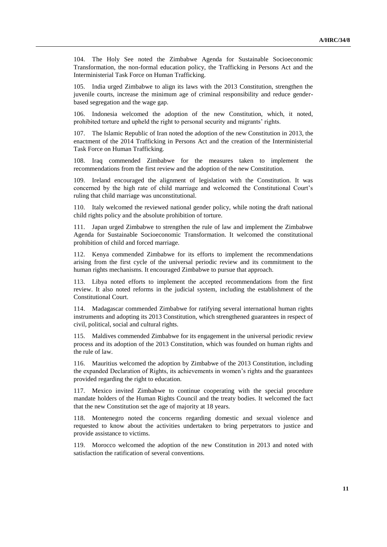104. The Holy See noted the Zimbabwe Agenda for Sustainable Socioeconomic Transformation, the non-formal education policy, the Trafficking in Persons Act and the Interministerial Task Force on Human Trafficking.

105. India urged Zimbabwe to align its laws with the 2013 Constitution, strengthen the juvenile courts, increase the minimum age of criminal responsibility and reduce genderbased segregation and the wage gap.

106. Indonesia welcomed the adoption of the new Constitution, which, it noted, prohibited torture and upheld the right to personal security and migrants' rights.

107. The Islamic Republic of Iran noted the adoption of the new Constitution in 2013, the enactment of the 2014 Trafficking in Persons Act and the creation of the Interministerial Task Force on Human Trafficking.

108. Iraq commended Zimbabwe for the measures taken to implement the recommendations from the first review and the adoption of the new Constitution.

109. Ireland encouraged the alignment of legislation with the Constitution. It was concerned by the high rate of child marriage and welcomed the Constitutional Court's ruling that child marriage was unconstitutional.

110. Italy welcomed the reviewed national gender policy, while noting the draft national child rights policy and the absolute prohibition of torture.

111. Japan urged Zimbabwe to strengthen the rule of law and implement the Zimbabwe Agenda for Sustainable Socioeconomic Transformation. It welcomed the constitutional prohibition of child and forced marriage.

112. Kenya commended Zimbabwe for its efforts to implement the recommendations arising from the first cycle of the universal periodic review and its commitment to the human rights mechanisms. It encouraged Zimbabwe to pursue that approach.

113. Libya noted efforts to implement the accepted recommendations from the first review. It also noted reforms in the judicial system, including the establishment of the Constitutional Court.

114. Madagascar commended Zimbabwe for ratifying several international human rights instruments and adopting its 2013 Constitution, which strengthened guarantees in respect of civil, political, social and cultural rights.

115. Maldives commended Zimbabwe for its engagement in the universal periodic review process and its adoption of the 2013 Constitution, which was founded on human rights and the rule of law.

116. Mauritius welcomed the adoption by Zimbabwe of the 2013 Constitution, including the expanded Declaration of Rights, its achievements in women's rights and the guarantees provided regarding the right to education.

117. Mexico invited Zimbabwe to continue cooperating with the special procedure mandate holders of the Human Rights Council and the treaty bodies. It welcomed the fact that the new Constitution set the age of majority at 18 years.

118. Montenegro noted the concerns regarding domestic and sexual violence and requested to know about the activities undertaken to bring perpetrators to justice and provide assistance to victims.

119. Morocco welcomed the adoption of the new Constitution in 2013 and noted with satisfaction the ratification of several conventions.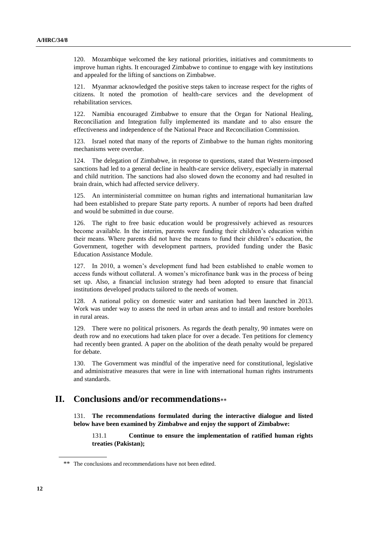120. Mozambique welcomed the key national priorities, initiatives and commitments to improve human rights. It encouraged Zimbabwe to continue to engage with key institutions and appealed for the lifting of sanctions on Zimbabwe.

121. Myanmar acknowledged the positive steps taken to increase respect for the rights of citizens. It noted the promotion of health-care services and the development of rehabilitation services.

122. Namibia encouraged Zimbabwe to ensure that the Organ for National Healing, Reconciliation and Integration fully implemented its mandate and to also ensure the effectiveness and independence of the National Peace and Reconciliation Commission.

123. Israel noted that many of the reports of Zimbabwe to the human rights monitoring mechanisms were overdue.

124. The delegation of Zimbabwe, in response to questions, stated that Western-imposed sanctions had led to a general decline in health-care service delivery, especially in maternal and child nutrition. The sanctions had also slowed down the economy and had resulted in brain drain, which had affected service delivery.

125. An interministerial committee on human rights and international humanitarian law had been established to prepare State party reports. A number of reports had been drafted and would be submitted in due course.

126. The right to free basic education would be progressively achieved as resources become available. In the interim, parents were funding their children's education within their means. Where parents did not have the means to fund their children's education, the Government, together with development partners, provided funding under the Basic Education Assistance Module.

127. In 2010, a women's development fund had been established to enable women to access funds without collateral. A women's microfinance bank was in the process of being set up. Also, a financial inclusion strategy had been adopted to ensure that financial institutions developed products tailored to the needs of women.

128. A national policy on domestic water and sanitation had been launched in 2013. Work was under way to assess the need in urban areas and to install and restore boreholes in rural areas.

129. There were no political prisoners. As regards the death penalty, 90 inmates were on death row and no executions had taken place for over a decade. Ten petitions for clemency had recently been granted. A paper on the abolition of the death penalty would be prepared for debate.

130. The Government was mindful of the imperative need for constitutional, legislative and administrative measures that were in line with international human rights instruments and standards.

# **II. Conclusions and/or recommendations**

131. **The recommendations formulated during the interactive dialogue and listed below have been examined by Zimbabwe and enjoy the support of Zimbabwe:**

131.1 **Continue to ensure the implementation of ratified human rights treaties (Pakistan);**

<sup>\*\*</sup> The conclusions and recommendations have not been edited.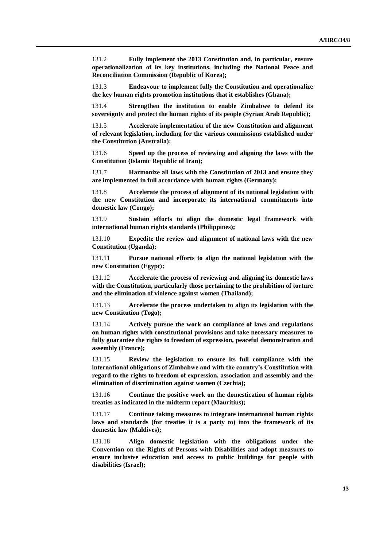131.2 **Fully implement the 2013 Constitution and, in particular, ensure operationalization of its key institutions, including the National Peace and Reconciliation Commission (Republic of Korea);**

131.3 **Endeavour to implement fully the Constitution and operationalize the key human rights promotion institutions that it establishes (Ghana);**

131.4 **Strengthen the institution to enable Zimbabwe to defend its sovereignty and protect the human rights of its people (Syrian Arab Republic);**

131.5 **Accelerate implementation of the new Constitution and alignment of relevant legislation, including for the various commissions established under the Constitution (Australia);**

131.6 **Speed up the process of reviewing and aligning the laws with the Constitution (Islamic Republic of Iran);**

131.7 **Harmonize all laws with the Constitution of 2013 and ensure they are implemented in full accordance with human rights (Germany);**

131.8 **Accelerate the process of alignment of its national legislation with the new Constitution and incorporate its international commitments into domestic law (Congo);**

131.9 **Sustain efforts to align the domestic legal framework with international human rights standards (Philippines);**

131.10 **Expedite the review and alignment of national laws with the new Constitution (Uganda);**

131.11 **Pursue national efforts to align the national legislation with the new Constitution (Egypt);**

131.12 **Accelerate the process of reviewing and aligning its domestic laws with the Constitution, particularly those pertaining to the prohibition of torture and the elimination of violence against women (Thailand);**

131.13 **Accelerate the process undertaken to align its legislation with the new Constitution (Togo);**

131.14 **Actively pursue the work on compliance of laws and regulations on human rights with constitutional provisions and take necessary measures to fully guarantee the rights to freedom of expression, peaceful demonstration and assembly (France);**

131.15 **Review the legislation to ensure its full compliance with the international obligations of Zimbabwe and with the country's Constitution with regard to the rights to freedom of expression, association and assembly and the elimination of discrimination against women (Czechia);**

131.16 **Continue the positive work on the domestication of human rights treaties as indicated in the midterm report (Mauritius);**

131.17 **Continue taking measures to integrate international human rights laws and standards (for treaties it is a party to) into the framework of its domestic law (Maldives);**

131.18 **Align domestic legislation with the obligations under the Convention on the Rights of Persons with Disabilities and adopt measures to ensure inclusive education and access to public buildings for people with disabilities (Israel);**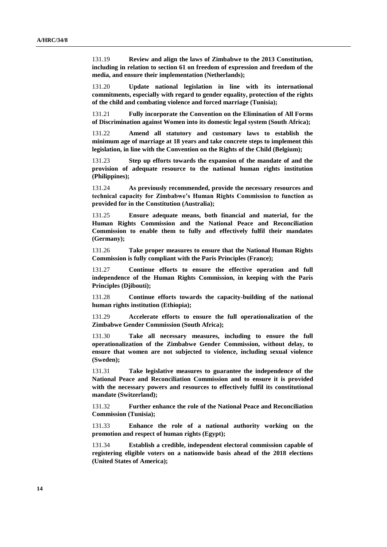131.19 **Review and align the laws of Zimbabwe to the 2013 Constitution, including in relation to section 61 on freedom of expression and freedom of the media, and ensure their implementation (Netherlands);**

131.20 **Update national legislation in line with its international commitments, especially with regard to gender equality, protection of the rights of the child and combating violence and forced marriage (Tunisia);**

131.21 **Fully incorporate the Convention on the Elimination of All Forms of Discrimination against Women into its domestic legal system (South Africa);**

131.22 **Amend all statutory and customary laws to establish the minimum age of marriage at 18 years and take concrete steps to implement this legislation, in line with the Convention on the Rights of the Child (Belgium);**

131.23 **Step up efforts towards the expansion of the mandate of and the provision of adequate resource to the national human rights institution (Philippines);**

131.24 **As previously recommended, provide the necessary resources and technical capacity for Zimbabwe's Human Rights Commission to function as provided for in the Constitution (Australia);**

131.25 **Ensure adequate means, both financial and material, for the Human Rights Commission and the National Peace and Reconciliation Commission to enable them to fully and effectively fulfil their mandates (Germany);**

131.26 **Take proper measures to ensure that the National Human Rights Commission is fully compliant with the Paris Principles (France);**

131.27 **Continue efforts to ensure the effective operation and full independence of the Human Rights Commission, in keeping with the Paris Principles (Djibouti);**

131.28 **Continue efforts towards the capacity-building of the national human rights institution (Ethiopia);**

131.29 **Accelerate efforts to ensure the full operationalization of the Zimbabwe Gender Commission (South Africa);**

131.30 **Take all necessary measures, including to ensure the full operationalization of the Zimbabwe Gender Commission, without delay, to ensure that women are not subjected to violence, including sexual violence (Sweden);**

131.31 **Take legislative measures to guarantee the independence of the National Peace and Reconciliation Commission and to ensure it is provided with the necessary powers and resources to effectively fulfil its constitutional mandate (Switzerland);**

131.32 **Further enhance the role of the National Peace and Reconciliation Commission (Tunisia);**

131.33 **Enhance the role of a national authority working on the promotion and respect of human rights (Egypt);**

131.34 **Establish a credible, independent electoral commission capable of registering eligible voters on a nationwide basis ahead of the 2018 elections (United States of America);**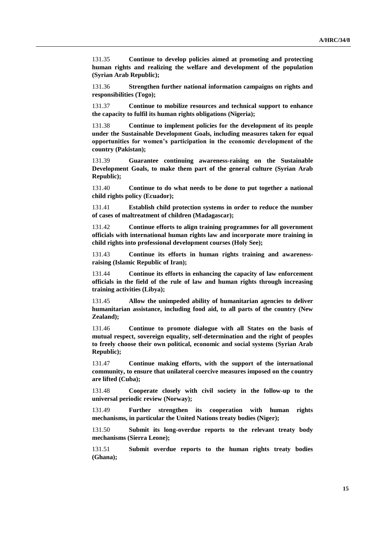131.35 **Continue to develop policies aimed at promoting and protecting human rights and realizing the welfare and development of the population (Syrian Arab Republic);**

131.36 **Strengthen further national information campaigns on rights and responsibilities (Togo);**

131.37 **Continue to mobilize resources and technical support to enhance the capacity to fulfil its human rights obligations (Nigeria);**

131.38 **Continue to implement policies for the development of its people under the Sustainable Development Goals, including measures taken for equal opportunities for women's participation in the economic development of the country (Pakistan);**

131.39 **Guarantee continuing awareness-raising on the Sustainable Development Goals, to make them part of the general culture (Syrian Arab Republic);**

131.40 **Continue to do what needs to be done to put together a national child rights policy (Ecuador);**

131.41 **Establish child protection systems in order to reduce the number of cases of maltreatment of children (Madagascar);**

131.42 **Continue efforts to align training programmes for all government officials with international human rights law and incorporate more training in child rights into professional development courses (Holy See);**

131.43 **Continue its efforts in human rights training and awarenessraising (Islamic Republic of Iran);**

131.44 **Continue its efforts in enhancing the capacity of law enforcement officials in the field of the rule of law and human rights through increasing training activities (Libya);**

131.45 **Allow the unimpeded ability of humanitarian agencies to deliver humanitarian assistance, including food aid, to all parts of the country (New Zealand);**

131.46 **Continue to promote dialogue with all States on the basis of mutual respect, sovereign equality, self-determination and the right of peoples to freely choose their own political, economic and social systems (Syrian Arab Republic);**

131.47 **Continue making efforts, with the support of the international community, to ensure that unilateral coercive measures imposed on the country are lifted (Cuba);**

131.48 **Cooperate closely with civil society in the follow-up to the universal periodic review (Norway);**

131.49 **Further strengthen its cooperation with human rights mechanisms, in particular the United Nations treaty bodies (Niger);**

131.50 **Submit its long-overdue reports to the relevant treaty body mechanisms (Sierra Leone);**

131.51 **Submit overdue reports to the human rights treaty bodies (Ghana);**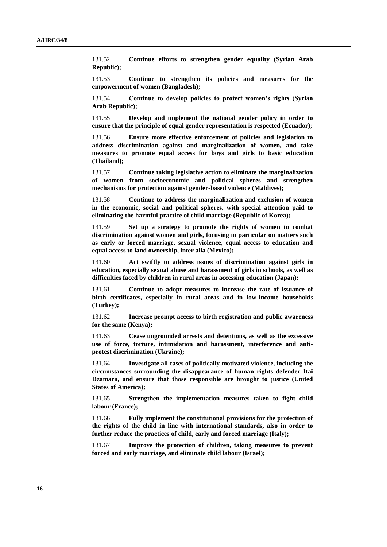131.52 **Continue efforts to strengthen gender equality (Syrian Arab Republic);**

131.53 **Continue to strengthen its policies and measures for the empowerment of women (Bangladesh);**

131.54 **Continue to develop policies to protect women's rights (Syrian Arab Republic);**

131.55 **Develop and implement the national gender policy in order to ensure that the principle of equal gender representation is respected (Ecuador);**

131.56 **Ensure more effective enforcement of policies and legislation to address discrimination against and marginalization of women, and take measures to promote equal access for boys and girls to basic education (Thailand);**

131.57 **Continue taking legislative action to eliminate the marginalization of women from socioeconomic and political spheres and strengthen mechanisms for protection against gender-based violence (Maldives);**

131.58 **Continue to address the marginalization and exclusion of women in the economic, social and political spheres, with special attention paid to eliminating the harmful practice of child marriage (Republic of Korea);**

131.59 **Set up a strategy to promote the rights of women to combat discrimination against women and girls, focusing in particular on matters such as early or forced marriage, sexual violence, equal access to education and equal access to land ownership, inter alia (Mexico);**

131.60 **Act swiftly to address issues of discrimination against girls in education, especially sexual abuse and harassment of girls in schools, as well as difficulties faced by children in rural areas in accessing education (Japan);**

131.61 **Continue to adopt measures to increase the rate of issuance of birth certificates, especially in rural areas and in low-income households (Turkey);**

131.62 **Increase prompt access to birth registration and public awareness for the same (Kenya);**

131.63 **Cease ungrounded arrests and detentions, as well as the excessive use of force, torture, intimidation and harassment, interference and antiprotest discrimination (Ukraine);**

131.64 **Investigate all cases of politically motivated violence, including the circumstances surrounding the disappearance of human rights defender Itai Dzamara, and ensure that those responsible are brought to justice (United States of America);**

131.65 **Strengthen the implementation measures taken to fight child labour (France);**

131.66 **Fully implement the constitutional provisions for the protection of the rights of the child in line with international standards, also in order to further reduce the practices of child, early and forced marriage (Italy);**

131.67 **Improve the protection of children, taking measures to prevent forced and early marriage, and eliminate child labour (Israel);**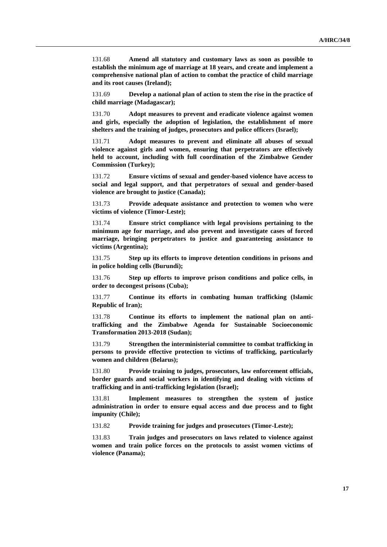131.68 **Amend all statutory and customary laws as soon as possible to establish the minimum age of marriage at 18 years, and create and implement a comprehensive national plan of action to combat the practice of child marriage and its root causes (Ireland);**

131.69 **Develop a national plan of action to stem the rise in the practice of child marriage (Madagascar);**

131.70 **Adopt measures to prevent and eradicate violence against women and girls, especially the adoption of legislation, the establishment of more shelters and the training of judges, prosecutors and police officers (Israel);**

131.71 **Adopt measures to prevent and eliminate all abuses of sexual violence against girls and women, ensuring that perpetrators are effectively held to account, including with full coordination of the Zimbabwe Gender Commission (Turkey);**

131.72 **Ensure victims of sexual and gender-based violence have access to social and legal support, and that perpetrators of sexual and gender-based violence are brought to justice (Canada);**

131.73 **Provide adequate assistance and protection to women who were victims of violence (Timor-Leste);**

131.74 **Ensure strict compliance with legal provisions pertaining to the minimum age for marriage, and also prevent and investigate cases of forced marriage, bringing perpetrators to justice and guaranteeing assistance to victims (Argentina);**

131.75 **Step up its efforts to improve detention conditions in prisons and in police holding cells (Burundi);**

131.76 **Step up efforts to improve prison conditions and police cells, in order to decongest prisons (Cuba);**

131.77 **Continue its efforts in combating human trafficking (Islamic Republic of Iran);**

131.78 **Continue its efforts to implement the national plan on antitrafficking and the Zimbabwe Agenda for Sustainable Socioeconomic Transformation 2013-2018 (Sudan);**

131.79 **Strengthen the interministerial committee to combat trafficking in persons to provide effective protection to victims of trafficking, particularly women and children (Belarus);**

131.80 **Provide training to judges, prosecutors, law enforcement officials, border guards and social workers in identifying and dealing with victims of trafficking and in anti-trafficking legislation (Israel);**

131.81 **Implement measures to strengthen the system of justice administration in order to ensure equal access and due process and to fight impunity (Chile);**

131.82 **Provide training for judges and prosecutors (Timor-Leste);**

131.83 **Train judges and prosecutors on laws related to violence against women and train police forces on the protocols to assist women victims of violence (Panama);**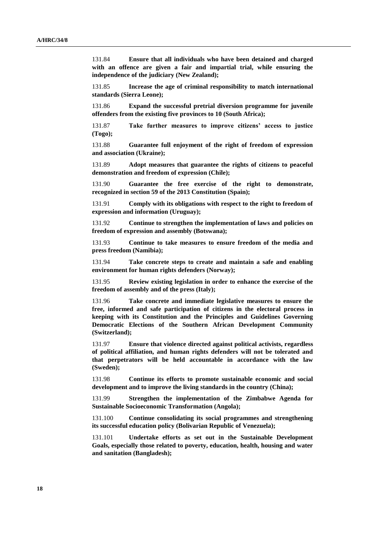131.84 **Ensure that all individuals who have been detained and charged with an offence are given a fair and impartial trial, while ensuring the independence of the judiciary (New Zealand);**

131.85 **Increase the age of criminal responsibility to match international standards (Sierra Leone);**

131.86 **Expand the successful pretrial diversion programme for juvenile offenders from the existing five provinces to 10 (South Africa);**

131.87 **Take further measures to improve citizens' access to justice (Togo);**

131.88 **Guarantee full enjoyment of the right of freedom of expression and association (Ukraine);**

131.89 **Adopt measures that guarantee the rights of citizens to peaceful demonstration and freedom of expression (Chile);**

131.90 **Guarantee the free exercise of the right to demonstrate, recognized in section 59 of the 2013 Constitution (Spain);**

131.91 **Comply with its obligations with respect to the right to freedom of expression and information (Uruguay);**

131.92 **Continue to strengthen the implementation of laws and policies on freedom of expression and assembly (Botswana);**

131.93 **Continue to take measures to ensure freedom of the media and press freedom (Namibia);**

131.94 **Take concrete steps to create and maintain a safe and enabling environment for human rights defenders (Norway);**

131.95 **Review existing legislation in order to enhance the exercise of the freedom of assembly and of the press (Italy);**

131.96 **Take concrete and immediate legislative measures to ensure the free, informed and safe participation of citizens in the electoral process in keeping with its Constitution and the Principles and Guidelines Governing Democratic Elections of the Southern African Development Community (Switzerland);**

131.97 **Ensure that violence directed against political activists, regardless of political affiliation, and human rights defenders will not be tolerated and that perpetrators will be held accountable in accordance with the law (Sweden);**

131.98 **Continue its efforts to promote sustainable economic and social development and to improve the living standards in the country (China);**

131.99 **Strengthen the implementation of the Zimbabwe Agenda for Sustainable Socioeconomic Transformation (Angola);**

131.100 **Continue consolidating its social programmes and strengthening its successful education policy (Bolivarian Republic of Venezuela);**

131.101 **Undertake efforts as set out in the Sustainable Development Goals, especially those related to poverty, education, health, housing and water and sanitation (Bangladesh);**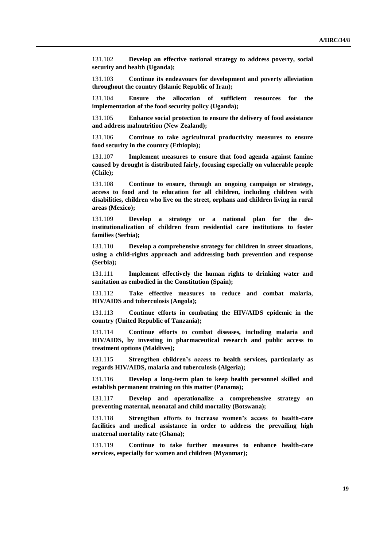131.102 **Develop an effective national strategy to address poverty, social security and health (Uganda);**

131.103 **Continue its endeavours for development and poverty alleviation throughout the country (Islamic Republic of Iran);**

131.104 **Ensure the allocation of sufficient resources for the implementation of the food security policy (Uganda);**

131.105 **Enhance social protection to ensure the delivery of food assistance and address malnutrition (New Zealand);**

131.106 **Continue to take agricultural productivity measures to ensure food security in the country (Ethiopia);**

131.107 **Implement measures to ensure that food agenda against famine caused by drought is distributed fairly, focusing especially on vulnerable people (Chile);**

131.108 **Continue to ensure, through an ongoing campaign or strategy, access to food and to education for all children, including children with disabilities, children who live on the street, orphans and children living in rural areas (Mexico);**

131.109 **Develop a strategy or a national plan for the deinstitutionalization of children from residential care institutions to foster families (Serbia);**

131.110 **Develop a comprehensive strategy for children in street situations, using a child-rights approach and addressing both prevention and response (Serbia);**

131.111 **Implement effectively the human rights to drinking water and sanitation as embodied in the Constitution (Spain);**

131.112 **Take effective measures to reduce and combat malaria, HIV/AIDS and tuberculosis (Angola);**

131.113 **Continue efforts in combating the HIV/AIDS epidemic in the country (United Republic of Tanzania);**

131.114 **Continue efforts to combat diseases, including malaria and HIV/AIDS, by investing in pharmaceutical research and public access to treatment options (Maldives);**

131.115 **Strengthen children's access to health services, particularly as regards HIV/AIDS, malaria and tuberculosis (Algeria);**

131.116 **Develop a long-term plan to keep health personnel skilled and establish permanent training on this matter (Panama);**

131.117 **Develop and operationalize a comprehensive strategy on preventing maternal, neonatal and child mortality (Botswana);**

131.118 **Strengthen efforts to increase women's access to health-care facilities and medical assistance in order to address the prevailing high maternal mortality rate (Ghana);**

131.119 **Continue to take further measures to enhance health-care services, especially for women and children (Myanmar);**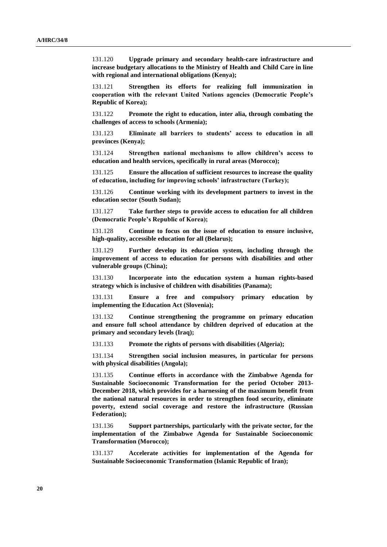131.120 **Upgrade primary and secondary health-care infrastructure and increase budgetary allocations to the Ministry of Health and Child Care in line with regional and international obligations (Kenya);**

131.121 **Strengthen its efforts for realizing full immunization in cooperation with the relevant United Nations agencies (Democratic People's Republic of Korea);**

131.122 **Promote the right to education, inter alia, through combating the challenges of access to schools (Armenia);**

131.123 **Eliminate all barriers to students' access to education in all provinces (Kenya);**

131.124 **Strengthen national mechanisms to allow children's access to education and health services, specifically in rural areas (Morocco);**

131.125 **Ensure the allocation of sufficient resources to increase the quality of education, including for improving schools' infrastructure (Turkey);**

131.126 **Continue working with its development partners to invest in the education sector (South Sudan);**

131.127 **Take further steps to provide access to education for all children (Democratic People's Republic of Korea);**

131.128 **Continue to focus on the issue of education to ensure inclusive, high-quality, accessible education for all (Belarus);**

131.129 **Further develop its education system, including through the improvement of access to education for persons with disabilities and other vulnerable groups (China);**

131.130 **Incorporate into the education system a human rights-based strategy which is inclusive of children with disabilities (Panama);**

131.131 **Ensure a free and compulsory primary education by implementing the Education Act (Slovenia);**

131.132 **Continue strengthening the programme on primary education and ensure full school attendance by children deprived of education at the primary and secondary levels (Iraq);**

131.133 **Promote the rights of persons with disabilities (Algeria);**

131.134 **Strengthen social inclusion measures, in particular for persons with physical disabilities (Angola);**

131.135 **Continue efforts in accordance with the Zimbabwe Agenda for Sustainable Socioeconomic Transformation for the period October 2013- December 2018, which provides for a harnessing of the maximum benefit from the national natural resources in order to strengthen food security, eliminate poverty, extend social coverage and restore the infrastructure (Russian Federation);**

131.136 **Support partnerships, particularly with the private sector, for the implementation of the Zimbabwe Agenda for Sustainable Socioeconomic Transformation (Morocco);**

131.137 **Accelerate activities for implementation of the Agenda for Sustainable Socioeconomic Transformation (Islamic Republic of Iran);**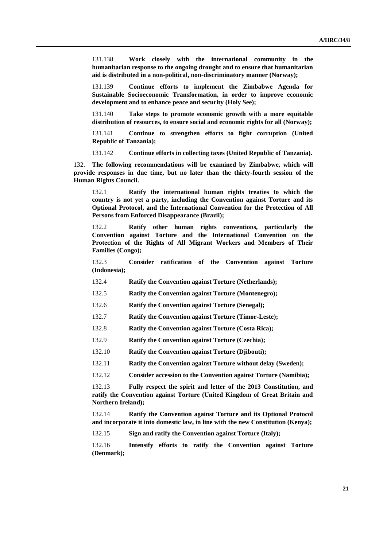131.138 **Work closely with the international community in the humanitarian response to the ongoing drought and to ensure that humanitarian aid is distributed in a non-political, non-discriminatory manner (Norway);**

131.139 **Continue efforts to implement the Zimbabwe Agenda for Sustainable Socioeconomic Transformation, in order to improve economic development and to enhance peace and security (Holy See);**

131.140 **Take steps to promote economic growth with a more equitable distribution of resources, to ensure social and economic rights for all (Norway);**

131.141 **Continue to strengthen efforts to fight corruption (United Republic of Tanzania);**

131.142 **Continue efforts in collecting taxes (United Republic of Tanzania).**

132. **The following recommendations will be examined by Zimbabwe, which will provide responses in due time, but no later than the thirty-fourth session of the Human Rights Council.**

132.1 **Ratify the international human rights treaties to which the country is not yet a party, including the Convention against Torture and its Optional Protocol, and the International Convention for the Protection of All Persons from Enforced Disappearance (Brazil);**

132.2 **Ratify other human rights conventions, particularly the Convention against Torture and the International Convention on the Protection of the Rights of All Migrant Workers and Members of Their Families (Congo);**

132.3 **Consider ratification of the Convention against Torture (Indonesia);**

132.4 **Ratify the Convention against Torture (Netherlands);**

132.5 **Ratify the Convention against Torture (Montenegro);**

132.6 **Ratify the Convention against Torture (Senegal);**

132.7 **Ratify the Convention against Torture (Timor-Leste);**

132.8 **Ratify the Convention against Torture (Costa Rica);**

132.9 **Ratify the Convention against Torture (Czechia);**

132.10 **Ratify the Convention against Torture (Djibouti);**

132.11 **Ratify the Convention against Torture without delay (Sweden);**

132.12 **Consider accession to the Convention against Torture (Namibia);**

132.13 **Fully respect the spirit and letter of the 2013 Constitution, and ratify the Convention against Torture (United Kingdom of Great Britain and Northern Ireland);**

132.14 **Ratify the Convention against Torture and its Optional Protocol and incorporate it into domestic law, in line with the new Constitution (Kenya);**

132.15 **Sign and ratify the Convention against Torture (Italy);**

132.16 **Intensify efforts to ratify the Convention against Torture (Denmark);**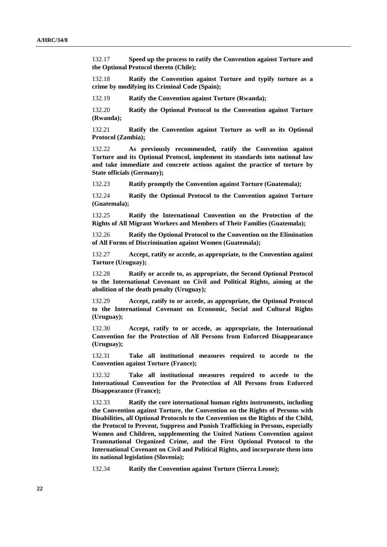132.17 **Speed up the process to ratify the Convention against Torture and the Optional Protocol thereto (Chile);**

132.18 **Ratify the Convention against Torture and typify torture as a crime by modifying its Criminal Code (Spain);**

132.19 **Ratify the Convention against Torture (Rwanda);**

132.20 **Ratify the Optional Protocol to the Convention against Torture (Rwanda);**

132.21 **Ratify the Convention against Torture as well as its Optional Protocol (Zambia);**

132.22 **As previously recommended, ratify the Convention against Torture and its Optional Protocol, implement its standards into national law and take immediate and concrete actions against the practice of torture by State officials (Germany);**

132.23 **Ratify promptly the Convention against Torture (Guatemala);**

132.24 **Ratify the Optional Protocol to the Convention against Torture (Guatemala);**

132.25 **Ratify the International Convention on the Protection of the Rights of All Migrant Workers and Members of Their Families (Guatemala);**

132.26 **Ratify the Optional Protocol to the Convention on the Elimination of All Forms of Discrimination against Women (Guatemala);**

132.27 **Accept, ratify or accede, as appropriate, to the Convention against Torture (Uruguay);**

132.28 **Ratify or accede to, as appropriate, the Second Optional Protocol to the International Covenant on Civil and Political Rights, aiming at the abolition of the death penalty (Uruguay);**

132.29 **Accept, ratify to or accede, as appropriate, the Optional Protocol to the International Covenant on Economic, Social and Cultural Rights (Uruguay);**

132.30 **Accept, ratify to or accede, as appropriate, the International Convention for the Protection of All Persons from Enforced Disappearance (Uruguay);**

132.31 **Take all institutional measures required to accede to the Convention against Torture (France);**

132.32 **Take all institutional measures required to accede to the International Convention for the Protection of All Persons from Enforced Disappearance (France);**

132.33 **Ratify the core international human rights instruments, including the Convention against Torture, the Convention on the Rights of Persons with Disabilities, all Optional Protocols to the Convention on the Rights of the Child, the Protocol to Prevent, Suppress and Punish Trafficking in Persons, especially Women and Children, supplementing the United Nations Convention against Transnational Organized Crime, and the First Optional Protocol to the International Covenant on Civil and Political Rights, and incorporate them into its national legislation (Slovenia);**

132.34 **Ratify the Convention against Torture (Sierra Leone);**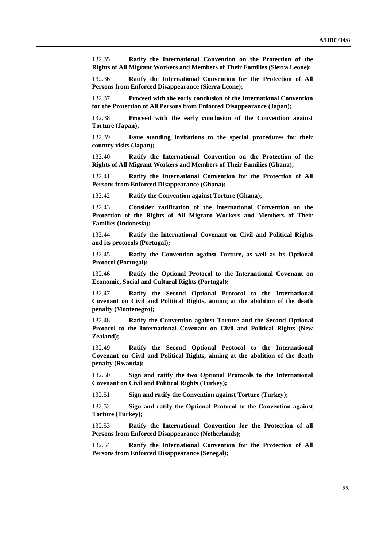132.35 **Ratify the International Convention on the Protection of the Rights of All Migrant Workers and Members of Their Families (Sierra Leone);**

132.36 **Ratify the International Convention for the Protection of All Persons from Enforced Disappearance (Sierra Leone);**

132.37 **Proceed with the early conclusion of the International Convention for the Protection of All Persons from Enforced Disappearance (Japan);**

132.38 **Proceed with the early conclusion of the Convention against Torture (Japan);**

132.39 **Issue standing invitations to the special procedures for their country visits (Japan);**

132.40 **Ratify the International Convention on the Protection of the Rights of All Migrant Workers and Members of Their Families (Ghana);**

132.41 **Ratify the International Convention for the Protection of All Persons from Enforced Disappearance (Ghana);**

132.42 **Ratify the Convention against Torture (Ghana);**

132.43 **Consider ratification of the International Convention on the Protection of the Rights of All Migrant Workers and Members of Their Families (Indonesia);**

132.44 **Ratify the International Covenant on Civil and Political Rights and its protocols (Portugal);**

132.45 **Ratify the Convention against Torture, as well as its Optional Protocol (Portugal);**

132.46 **Ratify the Optional Protocol to the International Covenant on Economic, Social and Cultural Rights (Portugal);**

132.47 **Ratify the Second Optional Protocol to the International Covenant on Civil and Political Rights, aiming at the abolition of the death penalty (Montenegro);**

132.48 **Ratify the Convention against Torture and the Second Optional Protocol to the International Covenant on Civil and Political Rights (New Zealand);**

132.49 **Ratify the Second Optional Protocol to the International Covenant on Civil and Political Rights, aiming at the abolition of the death penalty (Rwanda);**

132.50 **Sign and ratify the two Optional Protocols to the International Covenant on Civil and Political Rights (Turkey);**

132.51 **Sign and ratify the Convention against Torture (Turkey);**

132.52 **Sign and ratify the Optional Protocol to the Convention against Torture (Turkey);**

132.53 **Ratify the International Convention for the Protection of all Persons from Enforced Disappearance (Netherlands);**

132.54 **Ratify the International Convention for the Protection of All Persons from Enforced Disappearance (Senegal);**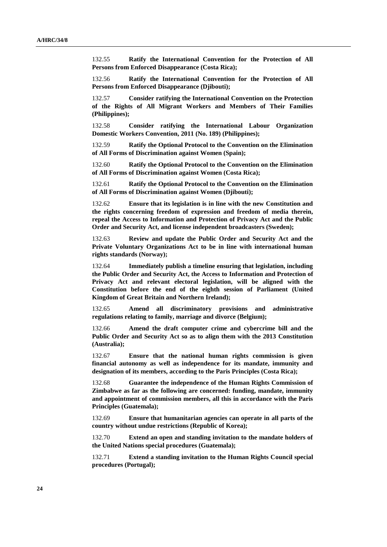132.55 **Ratify the International Convention for the Protection of All Persons from Enforced Disappearance (Costa Rica);**

132.56 **Ratify the International Convention for the Protection of All Persons from Enforced Disappearance (Djibouti);**

132.57 **Consider ratifying the International Convention on the Protection of the Rights of All Migrant Workers and Members of Their Families (Philippines);**

132.58 **Consider ratifying the International Labour Organization Domestic Workers Convention, 2011 (No. 189) (Philippines);**

132.59 **Ratify the Optional Protocol to the Convention on the Elimination of All Forms of Discrimination against Women (Spain);**

132.60 **Ratify the Optional Protocol to the Convention on the Elimination of All Forms of Discrimination against Women (Costa Rica);**

132.61 **Ratify the Optional Protocol to the Convention on the Elimination of All Forms of Discrimination against Women (Djibouti);**

132.62 **Ensure that its legislation is in line with the new Constitution and the rights concerning freedom of expression and freedom of media therein, repeal the Access to Information and Protection of Privacy Act and the Public Order and Security Act, and license independent broadcasters (Sweden);**

132.63 **Review and update the Public Order and Security Act and the Private Voluntary Organizations Act to be in line with international human rights standards (Norway);**

132.64 **Immediately publish a timeline ensuring that legislation, including the Public Order and Security Act, the Access to Information and Protection of Privacy Act and relevant electoral legislation, will be aligned with the Constitution before the end of the eighth session of Parliament (United Kingdom of Great Britain and Northern Ireland);**

132.65 **Amend all discriminatory provisions and administrative regulations relating to family, marriage and divorce (Belgium);**

132.66 **Amend the draft computer crime and cybercrime bill and the Public Order and Security Act so as to align them with the 2013 Constitution (Australia);**

132.67 **Ensure that the national human rights commission is given financial autonomy as well as independence for its mandate, immunity and designation of its members, according to the Paris Principles (Costa Rica);**

132.68 **Guarantee the independence of the Human Rights Commission of Zimbabwe as far as the following are concerned: funding, mandate, immunity and appointment of commission members, all this in accordance with the Paris Principles (Guatemala);**

132.69 **Ensure that humanitarian agencies can operate in all parts of the country without undue restrictions (Republic of Korea);**

132.70 **Extend an open and standing invitation to the mandate holders of the United Nations special procedures (Guatemala);**

132.71 **Extend a standing invitation to the Human Rights Council special procedures (Portugal);**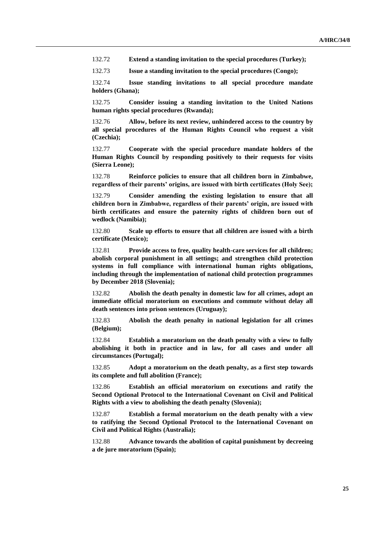132.72 **Extend a standing invitation to the special procedures (Turkey);**

132.73 **Issue a standing invitation to the special procedures (Congo);**

132.74 **Issue standing invitations to all special procedure mandate holders (Ghana);**

132.75 **Consider issuing a standing invitation to the United Nations human rights special procedures (Rwanda);**

132.76 **Allow, before its next review, unhindered access to the country by all special procedures of the Human Rights Council who request a visit (Czechia);**

132.77 **Cooperate with the special procedure mandate holders of the Human Rights Council by responding positively to their requests for visits (Sierra Leone);**

132.78 **Reinforce policies to ensure that all children born in Zimbabwe, regardless of their parents' origins, are issued with birth certificates (Holy See);**

132.79 **Consider amending the existing legislation to ensure that all children born in Zimbabwe, regardless of their parents' origin, are issued with birth certificates and ensure the paternity rights of children born out of wedlock (Namibia);**

132.80 **Scale up efforts to ensure that all children are issued with a birth certificate (Mexico);**

132.81 **Provide access to free, quality health-care services for all children; abolish corporal punishment in all settings; and strengthen child protection systems in full compliance with international human rights obligations, including through the implementation of national child protection programmes by December 2018 (Slovenia);**

132.82 **Abolish the death penalty in domestic law for all crimes, adopt an immediate official moratorium on executions and commute without delay all death sentences into prison sentences (Uruguay);**

132.83 **Abolish the death penalty in national legislation for all crimes (Belgium);**

132.84 **Establish a moratorium on the death penalty with a view to fully abolishing it both in practice and in law, for all cases and under all circumstances (Portugal);**

132.85 **Adopt a moratorium on the death penalty, as a first step towards its complete and full abolition (France);**

132.86 **Establish an official moratorium on executions and ratify the Second Optional Protocol to the International Covenant on Civil and Political Rights with a view to abolishing the death penalty (Slovenia);**

132.87 **Establish a formal moratorium on the death penalty with a view to ratifying the Second Optional Protocol to the International Covenant on Civil and Political Rights (Australia);**

132.88 **Advance towards the abolition of capital punishment by decreeing a de jure moratorium (Spain);**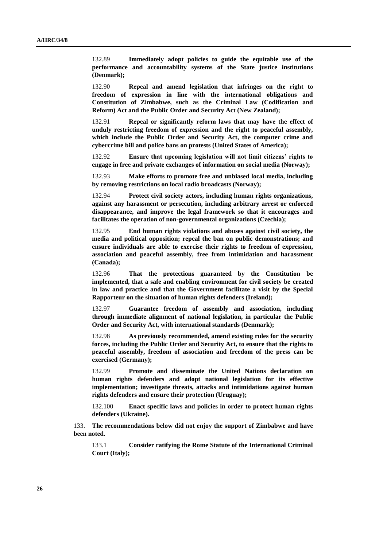132.89 **Immediately adopt policies to guide the equitable use of the performance and accountability systems of the State justice institutions (Denmark);**

132.90 **Repeal and amend legislation that infringes on the right to freedom of expression in line with the international obligations and Constitution of Zimbabwe, such as the Criminal Law (Codification and Reform) Act and the Public Order and Security Act (New Zealand);**

132.91 **Repeal or significantly reform laws that may have the effect of unduly restricting freedom of expression and the right to peaceful assembly, which include the Public Order and Security Act, the computer crime and cybercrime bill and police bans on protests (United States of America);**

132.92 **Ensure that upcoming legislation will not limit citizens' rights to engage in free and private exchanges of information on social media (Norway);**

132.93 **Make efforts to promote free and unbiased local media, including by removing restrictions on local radio broadcasts (Norway);**

132.94 **Protect civil society actors, including human rights organizations, against any harassment or persecution, including arbitrary arrest or enforced disappearance, and improve the legal framework so that it encourages and facilitates the operation of non-governmental organizations (Czechia);**

132.95 **End human rights violations and abuses against civil society, the media and political opposition; repeal the ban on public demonstrations; and ensure individuals are able to exercise their rights to freedom of expression, association and peaceful assembly, free from intimidation and harassment (Canada);**

132.96 **That the protections guaranteed by the Constitution be implemented, that a safe and enabling environment for civil society be created in law and practice and that the Government facilitate a visit by the Special Rapporteur on the situation of human rights defenders (Ireland);**

132.97 **Guarantee freedom of assembly and association, including through immediate alignment of national legislation, in particular the Public Order and Security Act, with international standards (Denmark);**

132.98 **As previously recommended, amend existing rules for the security forces, including the Public Order and Security Act, to ensure that the rights to peaceful assembly, freedom of association and freedom of the press can be exercised (Germany);**

132.99 **Promote and disseminate the United Nations declaration on human rights defenders and adopt national legislation for its effective implementation; investigate threats, attacks and intimidations against human rights defenders and ensure their protection (Uruguay);**

132.100 **Enact specific laws and policies in order to protect human rights defenders (Ukraine).**

133. **The recommendations below did not enjoy the support of Zimbabwe and have been noted.**

133.1 **Consider ratifying the Rome Statute of the International Criminal Court (Italy);**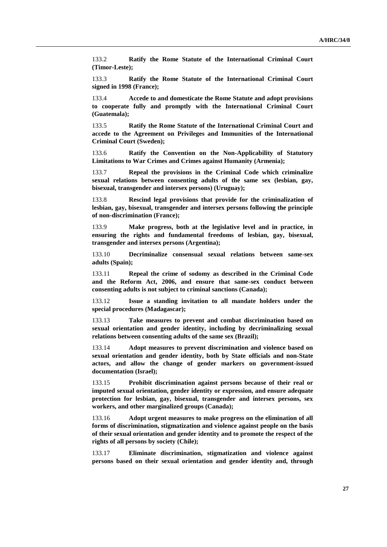133.2 **Ratify the Rome Statute of the International Criminal Court (Timor-Leste);**

133.3 **Ratify the Rome Statute of the International Criminal Court signed in 1998 (France);**

133.4 **Accede to and domesticate the Rome Statute and adopt provisions to cooperate fully and promptly with the International Criminal Court (Guatemala);**

133.5 **Ratify the Rome Statute of the International Criminal Court and accede to the Agreement on Privileges and Immunities of the International Criminal Court (Sweden);**

133.6 **Ratify the Convention on the Non-Applicability of Statutory Limitations to War Crimes and Crimes against Humanity (Armenia);**

133.7 **Repeal the provisions in the Criminal Code which criminalize sexual relations between consenting adults of the same sex (lesbian, gay, bisexual, transgender and intersex persons) (Uruguay);**

133.8 **Rescind legal provisions that provide for the criminalization of lesbian, gay, bisexual, transgender and intersex persons following the principle of non-discrimination (France);**

133.9 **Make progress, both at the legislative level and in practice, in ensuring the rights and fundamental freedoms of lesbian, gay, bisexual, transgender and intersex persons (Argentina);**

133.10 **Decriminalize consensual sexual relations between same-sex adults (Spain);**

133.11 **Repeal the crime of sodomy as described in the Criminal Code and the Reform Act, 2006, and ensure that same-sex conduct between consenting adults is not subject to criminal sanctions (Canada);**

133.12 **Issue a standing invitation to all mandate holders under the special procedures (Madagascar);**

133.13 **Take measures to prevent and combat discrimination based on sexual orientation and gender identity, including by decriminalizing sexual relations between consenting adults of the same sex (Brazil);**

133.14 **Adopt measures to prevent discrimination and violence based on sexual orientation and gender identity, both by State officials and non-State actors, and allow the change of gender markers on government-issued documentation (Israel);**

133.15 **Prohibit discrimination against persons because of their real or imputed sexual orientation, gender identity or expression, and ensure adequate protection for lesbian, gay, bisexual, transgender and intersex persons, sex workers, and other marginalized groups (Canada);**

133.16 **Adopt urgent measures to make progress on the elimination of all forms of discrimination, stigmatization and violence against people on the basis of their sexual orientation and gender identity and to promote the respect of the rights of all persons by society (Chile);**

133.17 **Eliminate discrimination, stigmatization and violence against persons based on their sexual orientation and gender identity and, through**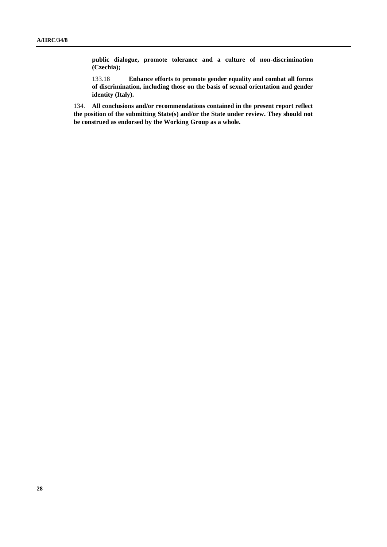**public dialogue, promote tolerance and a culture of non-discrimination (Czechia);**

133.18 **Enhance efforts to promote gender equality and combat all forms of discrimination, including those on the basis of sexual orientation and gender identity (Italy).**

134. **All conclusions and/or recommendations contained in the present report reflect the position of the submitting State(s) and/or the State under review. They should not be construed as endorsed by the Working Group as a whole.**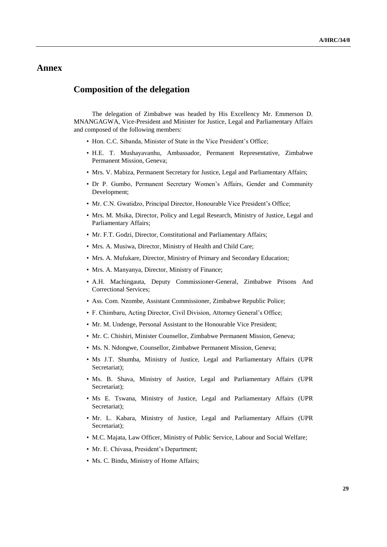## **Annex**

### **Composition of the delegation**

The delegation of Zimbabwe was headed by His Excellency Mr. Emmerson D. MNANGAGWA, Vice-President and Minister for Justice, Legal and Parliamentary Affairs and composed of the following members:

- Hon. C.C. Sibanda, Minister of State in the Vice President's Office;
- H.E. T. Mushayavanhu, Ambassador, Permanent Representative, Zimbabwe Permanent Mission, Geneva;
- Mrs. V. Mabiza, Permanent Secretary for Justice, Legal and Parliamentary Affairs;
- Dr P. Gumbo, Permanent Secretary Women's Affairs, Gender and Community Development;
- Mr. C.N. Gwatidzo, Principal Director, Honourable Vice President's Office;
- Mrs. M. Msika, Director, Policy and Legal Research, Ministry of Justice, Legal and Parliamentary Affairs;
- Mr. F.T. Godzi, Director, Constitutional and Parliamentary Affairs;
- Mrs. A. Musiwa, Director, Ministry of Health and Child Care;
- Mrs. A. Mufukare, Director, Ministry of Primary and Secondary Education;
- Mrs. A. Manyanya, Director, Ministry of Finance;
- A.H. Machingauta, Deputy Commissioner-General, Zimbabwe Prisons And Correctional Services;
- Ass. Com. Nzombe, Assistant Commissioner, Zimbabwe Republic Police;
- F. Chimbaru, Acting Director, Civil Division, Attorney General's Office;
- Mr. M. Undenge, Personal Assistant to the Honourable Vice President;
- Mr. C. Chishiri, Minister Counsellor, Zimbabwe Permanent Mission, Geneva;
- Ms. N. Ndongwe, Counsellor, Zimbabwe Permanent Mission, Geneva;
- Ms J.T. Shumba, Ministry of Justice, Legal and Parliamentary Affairs (UPR Secretariat);
- Ms. B. Shava, Ministry of Justice, Legal and Parliamentary Affairs (UPR Secretariat);
- Ms E. Tswana, Ministry of Justice, Legal and Parliamentary Affairs (UPR Secretariat);
- Mr. L. Kabara, Ministry of Justice, Legal and Parliamentary Affairs (UPR Secretariat);
- M.C. Majata, Law Officer, Ministry of Public Service, Labour and Social Welfare;
- Mr. E. Chivasa, President's Department;
- Ms. C. Bindu, Ministry of Home Affairs;